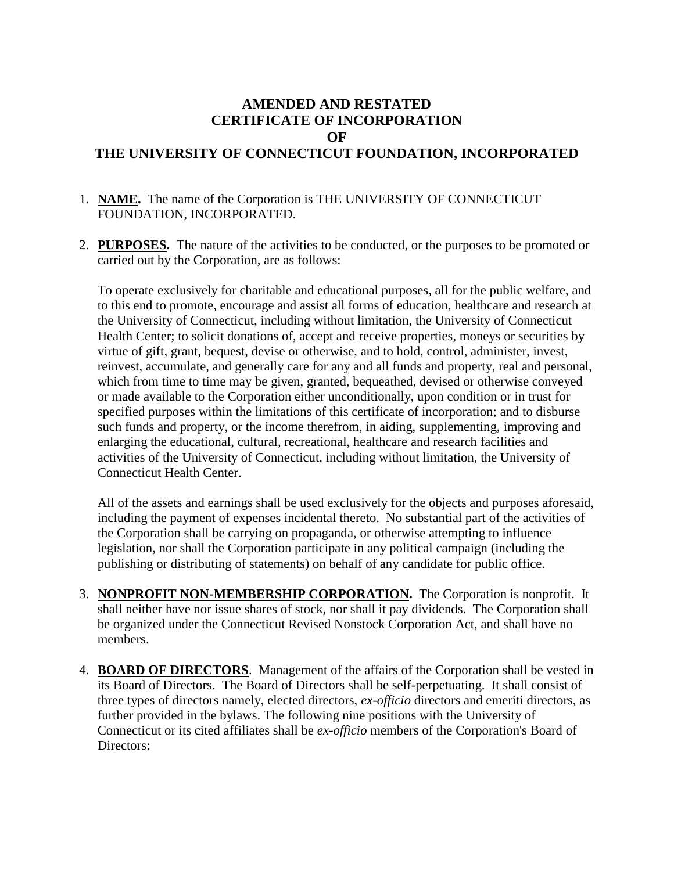## **AMENDED AND RESTATED CERTIFICATE OF INCORPORATION OF THE UNIVERSITY OF CONNECTICUT FOUNDATION, INCORPORATED**

## 1. **NAME.** The name of the Corporation is THE UNIVERSITY OF CONNECTICUT FOUNDATION, INCORPORATED.

2. **PURPOSES.** The nature of the activities to be conducted, or the purposes to be promoted or carried out by the Corporation, are as follows:

To operate exclusively for charitable and educational purposes, all for the public welfare, and to this end to promote, encourage and assist all forms of education, healthcare and research at the University of Connecticut, including without limitation, the University of Connecticut Health Center; to solicit donations of, accept and receive properties, moneys or securities by virtue of gift, grant, bequest, devise or otherwise, and to hold, control, administer, invest, reinvest, accumulate, and generally care for any and all funds and property, real and personal, which from time to time may be given, granted, bequeathed, devised or otherwise conveyed or made available to the Corporation either unconditionally, upon condition or in trust for specified purposes within the limitations of this certificate of incorporation; and to disburse such funds and property, or the income therefrom, in aiding, supplementing, improving and enlarging the educational, cultural, recreational, healthcare and research facilities and activities of the University of Connecticut, including without limitation, the University of Connecticut Health Center.

All of the assets and earnings shall be used exclusively for the objects and purposes aforesaid, including the payment of expenses incidental thereto. No substantial part of the activities of the Corporation shall be carrying on propaganda, or otherwise attempting to influence legislation, nor shall the Corporation participate in any political campaign (including the publishing or distributing of statements) on behalf of any candidate for public office.

- 3. **NONPROFIT NON-MEMBERSHIP CORPORATION.** The Corporation is nonprofit. It shall neither have nor issue shares of stock, nor shall it pay dividends. The Corporation shall be organized under the Connecticut Revised Nonstock Corporation Act, and shall have no members.
- 4. **BOARD OF DIRECTORS**. Management of the affairs of the Corporation shall be vested in its Board of Directors. The Board of Directors shall be self-perpetuating. It shall consist of three types of directors namely, elected directors, *ex-officio* directors and emeriti directors, as further provided in the bylaws. The following nine positions with the University of Connecticut or its cited affiliates shall be *ex-officio* members of the Corporation's Board of Directors: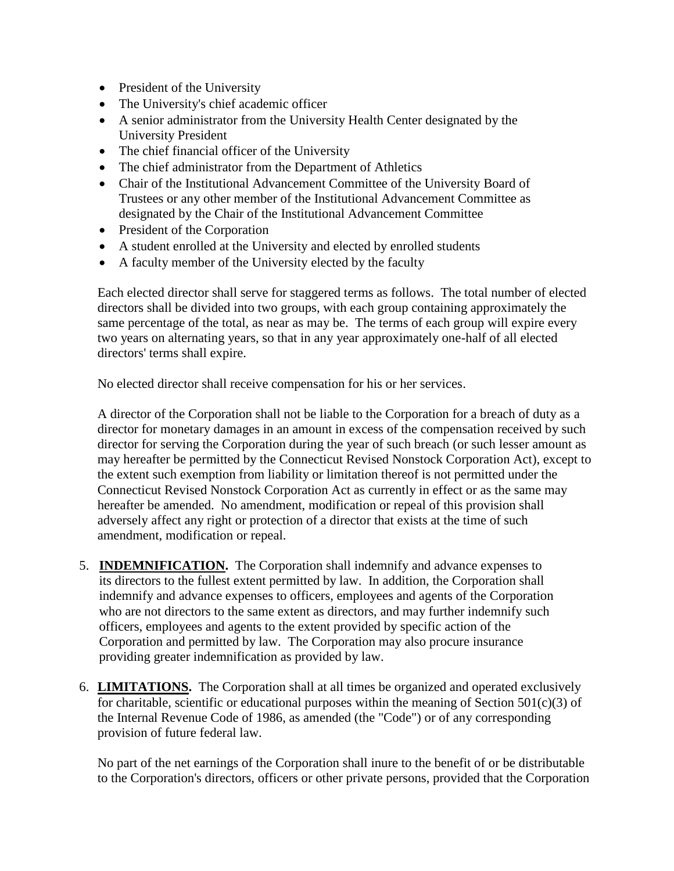- President of the University
- The University's chief academic officer
- A senior administrator from the University Health Center designated by the University President
- The chief financial officer of the University
- The chief administrator from the Department of Athletics
- Chair of the Institutional Advancement Committee of the University Board of Trustees or any other member of the Institutional Advancement Committee as designated by the Chair of the Institutional Advancement Committee
- President of the Corporation
- A student enrolled at the University and elected by enrolled students
- A faculty member of the University elected by the faculty

Each elected director shall serve for staggered terms as follows. The total number of elected directors shall be divided into two groups, with each group containing approximately the same percentage of the total, as near as may be. The terms of each group will expire every two years on alternating years, so that in any year approximately one-half of all elected directors' terms shall expire.

No elected director shall receive compensation for his or her services.

A director of the Corporation shall not be liable to the Corporation for a breach of duty as a director for monetary damages in an amount in excess of the compensation received by such director for serving the Corporation during the year of such breach (or such lesser amount as may hereafter be permitted by the Connecticut Revised Nonstock Corporation Act), except to the extent such exemption from liability or limitation thereof is not permitted under the Connecticut Revised Nonstock Corporation Act as currently in effect or as the same may hereafter be amended. No amendment, modification or repeal of this provision shall adversely affect any right or protection of a director that exists at the time of such amendment, modification or repeal.

- 5. **INDEMNIFICATION.** The Corporation shall indemnify and advance expenses to its directors to the fullest extent permitted by law. In addition, the Corporation shall indemnify and advance expenses to officers, employees and agents of the Corporation who are not directors to the same extent as directors, and may further indemnify such officers, employees and agents to the extent provided by specific action of the Corporation and permitted by law. The Corporation may also procure insurance providing greater indemnification as provided by law.
- 6. **LIMITATIONS.** The Corporation shall at all times be organized and operated exclusively for charitable, scientific or educational purposes within the meaning of Section  $501(c)(3)$  of the Internal Revenue Code of 1986, as amended (the "Code") or of any corresponding provision of future federal law.

No part of the net earnings of the Corporation shall inure to the benefit of or be distributable to the Corporation's directors, officers or other private persons, provided that the Corporation